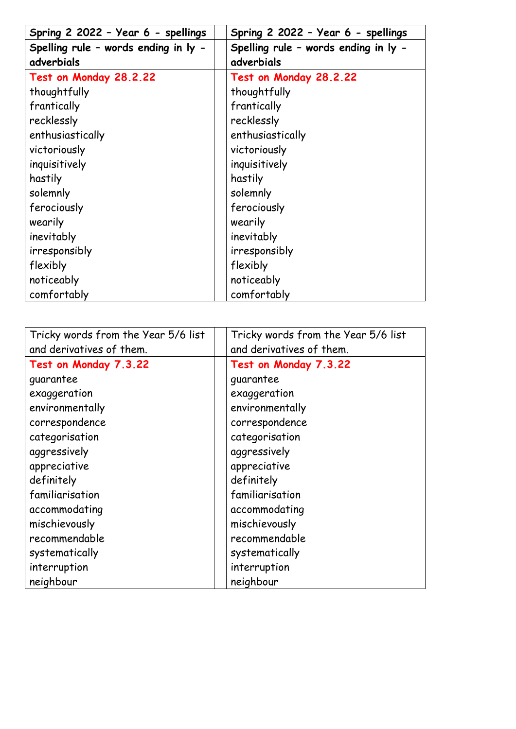| Spring 2 2022 - Year 6 - spellings   | Spring 2 2022 - Year 6 - spellings   |
|--------------------------------------|--------------------------------------|
| Spelling rule - words ending in ly - | Spelling rule - words ending in ly - |
| adverbials                           | adverbials                           |
| Test on Monday 28.2.22               | Test on Monday 28.2.22               |
| thoughtfully                         | thoughtfully                         |
| frantically                          | frantically                          |
| recklessly                           | recklessly                           |
| enthusiastically                     | enthusiastically                     |
| victoriously                         | victoriously                         |
| inquisitively                        | inquisitively                        |
| hastily                              | hastily                              |
| solemnly                             | solemnly                             |
| ferociously                          | ferociously                          |
| wearily                              | wearily                              |
| inevitably                           | inevitably                           |
| irresponsibly                        | irresponsibly                        |
| flexibly                             | flexibly                             |
| noticeably                           | noticeably                           |
| comfortably                          | comfortably                          |

| Tricky words from the Year 5/6 list | Tricky words from the Year 5/6 list |
|-------------------------------------|-------------------------------------|
| and derivatives of them.            | and derivatives of them.            |
| Test on Monday 7.3.22               | Test on Monday 7.3.22               |
| guarantee                           | guarantee                           |
| exaggeration                        | exaggeration                        |
| environmentally                     | environmentally                     |
| correspondence                      | correspondence                      |
| categorisation                      | categorisation                      |
| aggressively                        | aggressively                        |
| appreciative                        | appreciative                        |
| definitely                          | definitely                          |
| familiarisation                     | familiarisation                     |
| accommodating                       | accommodating                       |
| mischievously                       | mischievously                       |
| recommendable                       | recommendable                       |
| systematically                      | systematically                      |
| interruption                        | interruption                        |
| neighbour                           | neighbour                           |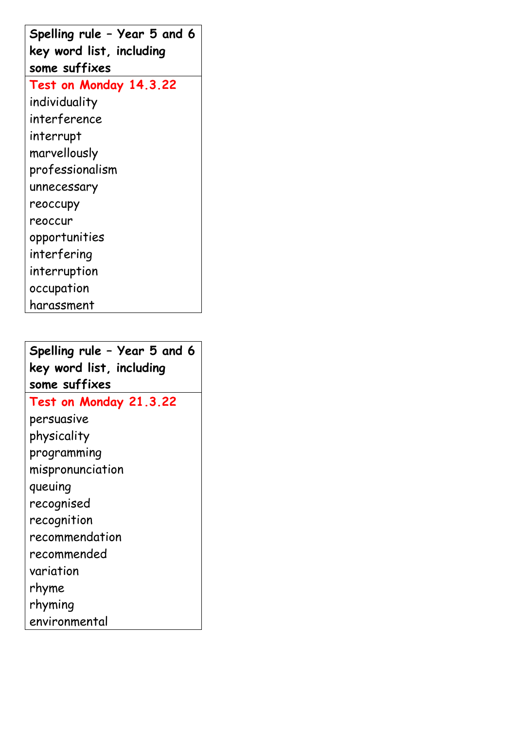| Spelling rule - Year 5 and 6 |
|------------------------------|
| key word list, including     |
| some suffixes                |
| Test on Monday 14.3.22       |
| individuality                |
| interference                 |
| interrupt                    |
| marvellously                 |
| professionalism              |
| unnecessary                  |
| reoccupy                     |
| reoccur                      |
| opportunities                |
| interfering                  |
| interruption                 |
| occupation                   |
| harassment                   |

**Spelling rule – Year 5 and 6 key word list, including some suffixes Test on Monday 21.3.22** persuasive physicality programming mispronunciation queuing recognised recognition recommendation recommended variation rhyme rhyming

environmental